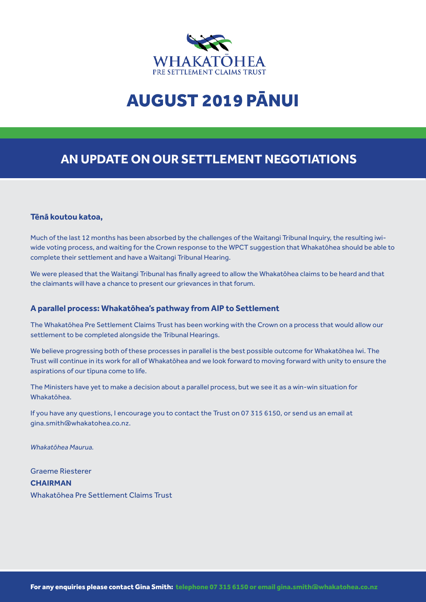

# AUGUST 2019 PĀNUI

# **AN UPDATE ON OUR SETTLEMENT NEGOTIATIONS**

#### **Tēnā koutou katoa,**

Much of the last 12 months has been absorbed by the challenges of the Waitangi Tribunal Inquiry, the resulting iwiwide voting process, and waiting for the Crown response to the WPCT suggestion that Whakatōhea should be able to complete their settlement and have a Waitangi Tribunal Hearing.

We were pleased that the Waitangi Tribunal has finally agreed to allow the Whakatōhea claims to be heard and that the claimants will have a chance to present our grievances in that forum.

### **A parallel process: Whakatōhea's pathway from AIP to Settlement**

The Whakatōhea Pre Settlement Claims Trust has been working with the Crown on a process that would allow our settlement to be completed alongside the Tribunal Hearings.

We believe progressing both of these processes in parallel is the best possible outcome for Whakatōhea Iwi. The Trust will continue in its work for all of Whakatōhea and we look forward to moving forward with unity to ensure the aspirations of our tīpuna come to life.

The Ministers have yet to make a decision about a parallel process, but we see it as a win-win situation for Whakatōhea.

If you have any questions, I encourage you to contact the Trust on 07 315 6150, or send us an email at gina.smith@whakatohea.co.nz.

*Whakatōhea Maurua.*

Graeme Riesterer **CHAIRMAN** Whakatōhea Pre Settlement Claims Trust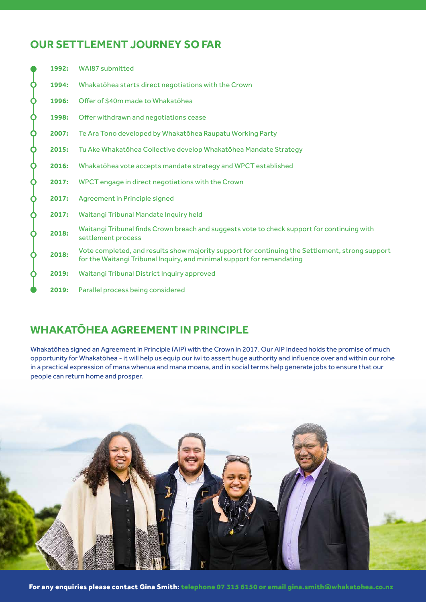# **OUR SETTLEMENT JOURNEY SO FAR**

|   | 1992: | <b>WAI87 submitted</b>                                                                                                                                                    |
|---|-------|---------------------------------------------------------------------------------------------------------------------------------------------------------------------------|
| ¢ | 1994: | Whakatōhea starts direct negotiations with the Crown                                                                                                                      |
| ¢ | 1996: | Offer of \$40m made to Whakatōhea                                                                                                                                         |
| ¢ | 1998: | Offer withdrawn and negotiations cease                                                                                                                                    |
| Ŷ | 2007: | Te Ara Tono developed by Whakatōhea Raupatu Working Party                                                                                                                 |
| ¢ | 2015: | Tu Ake Whakatōhea Collective develop Whakatōhea Mandate Strategy                                                                                                          |
| ¢ | 2016: | Whakatōhea vote accepts mandate strategy and WPCT established                                                                                                             |
| Q | 2017: | WPCT engage in direct negotiations with the Crown                                                                                                                         |
| ¢ | 2017: | Agreement in Principle signed                                                                                                                                             |
| ¢ | 2017: | Waitangi Tribunal Mandate Inquiry held                                                                                                                                    |
| Q | 2018: | Waitangi Tribunal finds Crown breach and suggests vote to check support for continuing with<br>settlement process                                                         |
| Ò | 2018: | Vote completed, and results show majority support for continuing the Settlement, strong support<br>for the Waitangi Tribunal Inquiry, and minimal support for remandating |
| Q | 2019: | Waitangi Tribunal District Inquiry approved                                                                                                                               |
|   | 2019: | Parallel process being considered                                                                                                                                         |

# **WHAKATŌHEA AGREEMENT IN PRINCIPLE**

Whakatōhea signed an Agreement in Principle (AIP) with the Crown in 2017. Our AIP indeed holds the promise of much opportunity for Whakatōhea - it will help us equip our iwi to assert huge authority and influence over and within our rohe in a practical expression of mana whenua and mana moana, and in social terms help generate jobs to ensure that our people can return home and prosper.

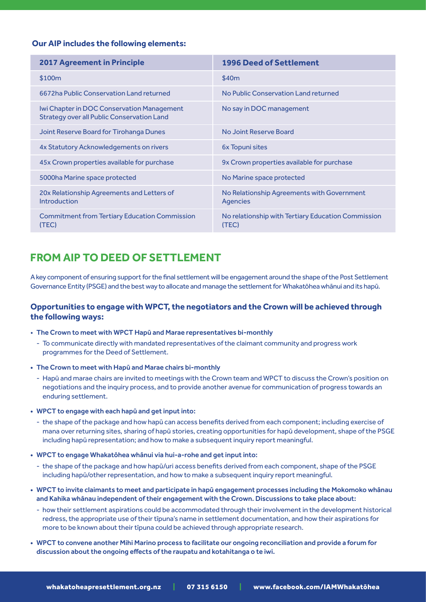### **Our AIP includes the following elements:**

| <b>2017 Agreement in Principle</b>                                                              | <b>1996 Deed of Settlement</b>                              |
|-------------------------------------------------------------------------------------------------|-------------------------------------------------------------|
| \$100m                                                                                          | \$40m                                                       |
| 6672ha Public Conservation Land returned                                                        | No Public Conservation Land returned                        |
| Iwi Chapter in DOC Conservation Management<br><b>Strategy over all Public Conservation Land</b> | No say in DOC management                                    |
| Joint Reserve Board for Tirohanga Dunes                                                         | No Joint Reserve Board                                      |
| 4x Statutory Acknowledgements on rivers                                                         | 6x Topuni sites                                             |
| 45x Crown properties available for purchase                                                     | 9x Crown properties available for purchase                  |
| 5000ha Marine space protected                                                                   | No Marine space protected                                   |
| 20x Relationship Agreements and Letters of<br><b>Introduction</b>                               | No Relationship Agreements with Government<br>Agencies      |
| <b>Commitment from Tertiary Education Commission</b><br>(TEC)                                   | No relationship with Tertiary Education Commission<br>(TEC) |

### **FROM AIP TO DEED OF SETTLEMENT**

A key component of ensuring support for the final settlement will be engagement around the shape of the Post Settlement Governance Entity (PSGE) and the best way to allocate and manage the settlement for Whakatōhea whānui and its hapū.

### **Opportunities to engage with WPCT, the negotiators and the Crown will be achieved through the following ways:**

- The Crown to meet with WPCT Hapū and Marae representatives bi-monthly
	- To communicate directly with mandated representatives of the claimant community and progress work programmes for the Deed of Settlement.
- The Crown to meet with Hapū and Marae chairs bi-monthly
	- Hapū and marae chairs are invited to meetings with the Crown team and WPCT to discuss the Crown's position on negotiations and the inquiry process, and to provide another avenue for communication of progress towards an enduring settlement.
- WPCT to engage with each hapū and get input into:
	- the shape of the package and how hapū can access benefits derived from each component; including exercise of mana over returning sites, sharing of hapū stories, creating opportunities for hapū development, shape of the PSGE including hapū representation; and how to make a subsequent inquiry report meaningful.
- WPCT to engage Whakatōhea whānui via hui-a-rohe and get input into:
	- the shape of the package and how hapū/uri access benefits derived from each component, shape of the PSGE including hapū/other representation, and how to make a subsequent inquiry report meaningful.
- • WPCT to invite claimants to meet and participate in hapū engagement processes including the Mokomoko whānau and Kahika whānau independent of their engagement with the Crown. Discussions to take place about:
	- how their settlement aspirations could be accommodated through their involvement in the development historical redress, the appropriate use of their tīpuna's name in settlement documentation, and how their aspirations for more to be known about their tīpuna could be achieved through appropriate research.
- • WPCT to convene another Mihi Marino process to facilitate our ongoing reconciliation and provide a forum for discussion about the ongoing effects of the raupatu and kotahitanga o te iwi.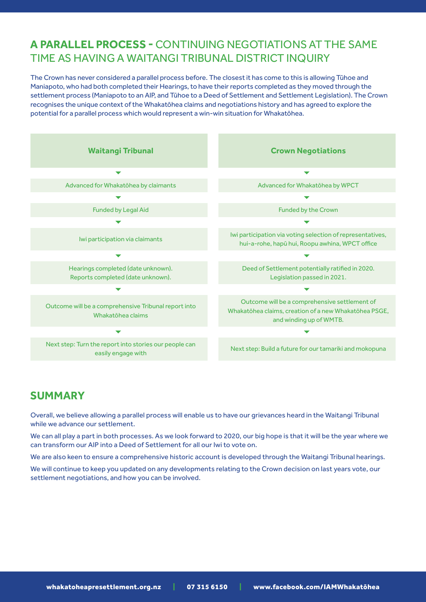### **A PARALLEL PROCESS -** CONTINUING NEGOTIATIONS AT THE SAME TIME AS HAVING A WAITANGI TRIBUNAL DISTRICT INQUIRY

The Crown has never considered a parallel process before. The closest it has come to this is allowing Tūhoe and Maniapoto, who had both completed their Hearings, to have their reports completed as they moved through the settlement process (Maniapoto to an AIP, and Tūhoe to a Deed of Settlement and Settlement Legislation). The Crown recognises the unique context of the Whakatōhea claims and negotiations history and has agreed to explore the potential for a parallel process which would represent a win-win situation for Whakatōhea.



### **SUMMARY**

Overall, we believe allowing a parallel process will enable us to have our grievances heard in the Waitangi Tribunal while we advance our settlement.

We can all play a part in both processes. As we look forward to 2020, our big hope is that it will be the year where we can transform our AIP into a Deed of Settlement for all our Iwi to vote on.

We are also keen to ensure a comprehensive historic account is developed through the Waitangi Tribunal hearings.

We will continue to keep you updated on any developments relating to the Crown decision on last years vote, our settlement negotiations, and how you can be involved.